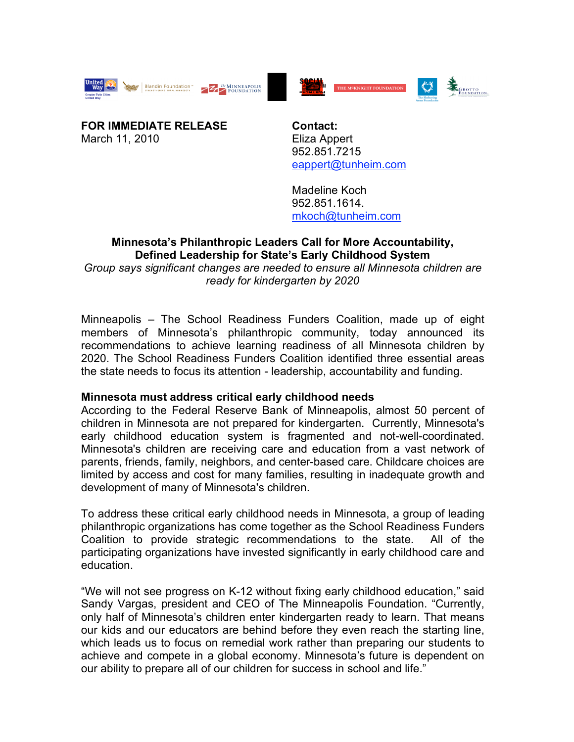





**FOR IMMEDIATE RELEASE** March 11, 2010

**Contact:** Eliza Appert 952.851.7215 eappert@tunheim.com

Madeline Koch 952.851.1614. mkoch@tunheim.com

## **Minnesota's Philanthropic Leaders Call for More Accountability, Defined Leadership for State's Early Childhood System**

*Group says significant changes are needed to ensure all Minnesota children are ready for kindergarten by 2020*

Minneapolis – The School Readiness Funders Coalition, made up of eight members of Minnesota's philanthropic community, today announced its recommendations to achieve learning readiness of all Minnesota children by 2020. The School Readiness Funders Coalition identified three essential areas the state needs to focus its attention - leadership, accountability and funding.

# **Minnesota must address critical early childhood needs**

According to the Federal Reserve Bank of Minneapolis, almost 50 percent of children in Minnesota are not prepared for kindergarten. Currently, Minnesota's early childhood education system is fragmented and not-well-coordinated. Minnesota's children are receiving care and education from a vast network of parents, friends, family, neighbors, and center-based care. Childcare choices are limited by access and cost for many families, resulting in inadequate growth and development of many of Minnesota's children.

To address these critical early childhood needs in Minnesota, a group of leading philanthropic organizations has come together as the School Readiness Funders Coalition to provide strategic recommendations to the state. All of the participating organizations have invested significantly in early childhood care and education.

"We will not see progress on K-12 without fixing early childhood education," said Sandy Vargas, president and CEO of The Minneapolis Foundation. "Currently, only half of Minnesota's children enter kindergarten ready to learn. That means our kids and our educators are behind before they even reach the starting line, which leads us to focus on remedial work rather than preparing our students to achieve and compete in a global economy. Minnesota's future is dependent on our ability to prepare all of our children for success in school and life."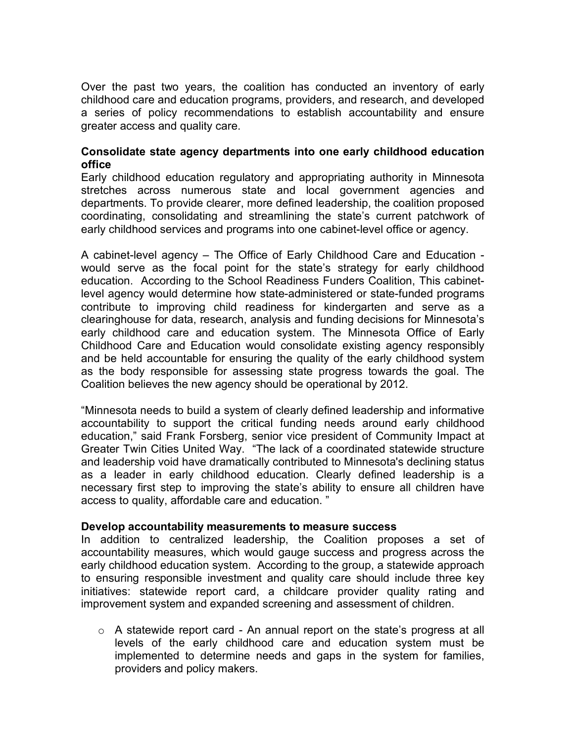Over the past two years, the coalition has conducted an inventory of early childhood care and education programs, providers, and research, and developed a series of policy recommendations to establish accountability and ensure greater access and quality care.

# **Consolidate state agency departments into one early childhood education office**

Early childhood education regulatory and appropriating authority in Minnesota stretches across numerous state and local government agencies and departments. To provide clearer, more defined leadership, the coalition proposed coordinating, consolidating and streamlining the state's current patchwork of early childhood services and programs into one cabinet-level office or agency.

A cabinet-level agency – The Office of Early Childhood Care and Education would serve as the focal point for the state's strategy for early childhood education. According to the School Readiness Funders Coalition, This cabinetlevel agency would determine how state-administered or state-funded programs contribute to improving child readiness for kindergarten and serve as a clearinghouse for data, research, analysis and funding decisions for Minnesota's early childhood care and education system. The Minnesota Office of Early Childhood Care and Education would consolidate existing agency responsibly and be held accountable for ensuring the quality of the early childhood system as the body responsible for assessing state progress towards the goal. The Coalition believes the new agency should be operational by 2012.

"Minnesota needs to build a system of clearly defined leadership and informative accountability to support the critical funding needs around early childhood education," said Frank Forsberg, senior vice president of Community Impact at Greater Twin Cities United Way. "The lack of a coordinated statewide structure and leadership void have dramatically contributed to Minnesota's declining status as a leader in early childhood education. Clearly defined leadership is a necessary first step to improving the state's ability to ensure all children have access to quality, affordable care and education. "

### **Develop accountability measurements to measure success**

In addition to centralized leadership, the Coalition proposes a set of accountability measures, which would gauge success and progress across the early childhood education system. According to the group, a statewide approach to ensuring responsible investment and quality care should include three key initiatives: statewide report card, a childcare provider quality rating and improvement system and expanded screening and assessment of children.

 $\circ$  A statewide report card - An annual report on the state's progress at all levels of the early childhood care and education system must be implemented to determine needs and gaps in the system for families, providers and policy makers.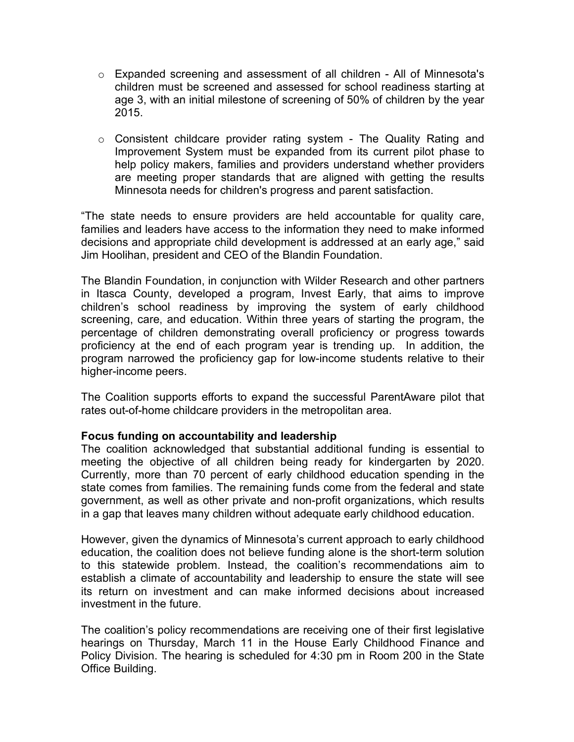- $\circ$  Expanded screening and assessment of all children All of Minnesota's children must be screened and assessed for school readiness starting at age 3, with an initial milestone of screening of 50% of children by the year 2015.
- o Consistent childcare provider rating system The Quality Rating and Improvement System must be expanded from its current pilot phase to help policy makers, families and providers understand whether providers are meeting proper standards that are aligned with getting the results Minnesota needs for children's progress and parent satisfaction.

"The state needs to ensure providers are held accountable for quality care, families and leaders have access to the information they need to make informed decisions and appropriate child development is addressed at an early age," said Jim Hoolihan, president and CEO of the Blandin Foundation.

The Blandin Foundation, in conjunction with Wilder Research and other partners in Itasca County, developed a program, Invest Early, that aims to improve children's school readiness by improving the system of early childhood screening, care, and education. Within three years of starting the program, the percentage of children demonstrating overall proficiency or progress towards proficiency at the end of each program year is trending up. In addition, the program narrowed the proficiency gap for low-income students relative to their higher-income peers.

The Coalition supports efforts to expand the successful ParentAware pilot that rates out-of-home childcare providers in the metropolitan area.

# **Focus funding on accountability and leadership**

The coalition acknowledged that substantial additional funding is essential to meeting the objective of all children being ready for kindergarten by 2020. Currently, more than 70 percent of early childhood education spending in the state comes from families. The remaining funds come from the federal and state government, as well as other private and non-profit organizations, which results in a gap that leaves many children without adequate early childhood education.

However, given the dynamics of Minnesota's current approach to early childhood education, the coalition does not believe funding alone is the short-term solution to this statewide problem. Instead, the coalition's recommendations aim to establish a climate of accountability and leadership to ensure the state will see its return on investment and can make informed decisions about increased investment in the future.

The coalition's policy recommendations are receiving one of their first legislative hearings on Thursday, March 11 in the House Early Childhood Finance and Policy Division. The hearing is scheduled for 4:30 pm in Room 200 in the State Office Building.